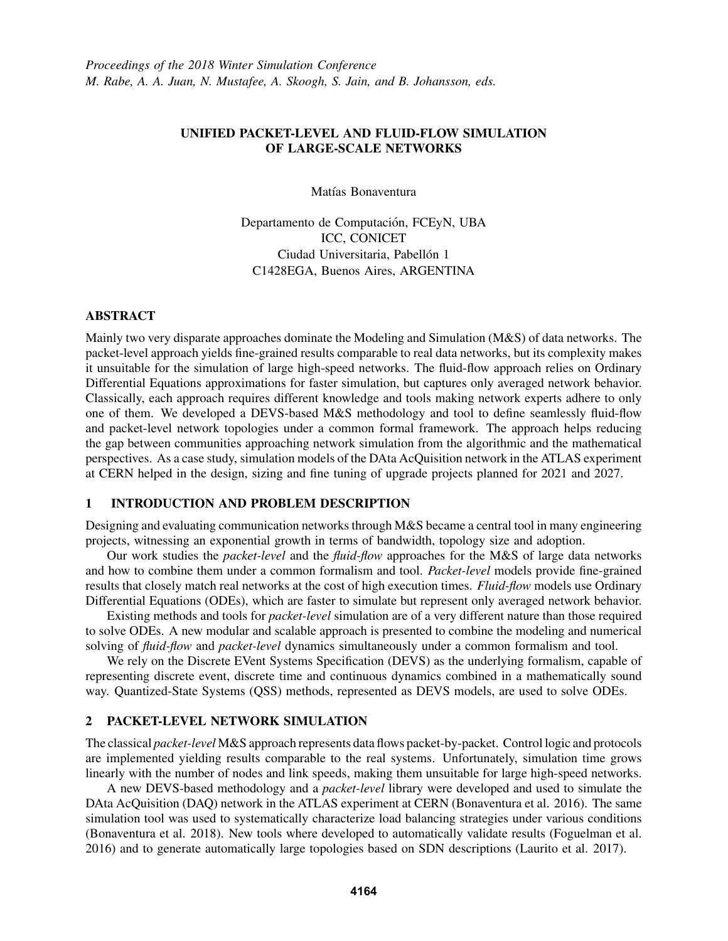## UNIFIED PACKET-LEVEL AND FLUID-FLOW SIMULATION OF LARGE-SCALE NETWORKS

Matías Bonaventura

Departamento de Computación, FCEyN, UBA ICC, CONICET Ciudad Universitaria, Pabellón 1 C1428EGA, Buenos Aires, ARGENTINA

#### ABSTRACT

Mainly two very disparate approaches dominate the Modeling and Simulation (M&S) of data networks. The packet-level approach yields fine-grained results comparable to real data networks, but its complexity makes it unsuitable for the simulation of large high-speed networks. The fluid-flow approach relies on Ordinary Differential Equations approximations for faster simulation, but captures only averaged network behavior. Classically, each approach requires different knowledge and tools making network experts adhere to only one of them. We developed a DEVS-based M&S methodology and tool to define seamlessly fluid-flow and packet-level network topologies under a common formal framework. The approach helps reducing the gap between communities approaching network simulation from the algorithmic and the mathematical perspectives. As a case study, simulation models of the DAta AcQuisition network in the ATLAS experiment at CERN helped in the design, sizing and fine tuning of upgrade projects planned for 2021 and 2027.

# 1 INTRODUCTION AND PROBLEM DESCRIPTION

Designing and evaluating communication networks through M&S became a central tool in many engineering projects, witnessing an exponential growth in terms of bandwidth, topology size and adoption.

Our work studies the *packet-level* and the *fluid-flow* approaches for the M&S of large data networks and how to combine them under a common formalism and tool. *Packet-level* models provide fine-grained results that closely match real networks at the cost of high execution times. *Fluid-flow* models use Ordinary Differential Equations (ODEs), which are faster to simulate but represent only averaged network behavior.

Existing methods and tools for *packet-level* simulation are of a very different nature than those required to solve ODEs. A new modular and scalable approach is presented to combine the modeling and numerical solving of *fluid-flow* and *packet-level* dynamics simultaneously under a common formalism and tool.

We rely on the Discrete EVent Systems Specification (DEVS) as the underlying formalism, capable of representing discrete event, discrete time and continuous dynamics combined in a mathematically sound way. Quantized-State Systems (QSS) methods, represented as DEVS models, are used to solve ODEs.

### 2 PACKET-LEVEL NETWORK SIMULATION

The classical *packet-level* M&S approach represents data flows packet-by-packet. Control logic and protocols are implemented yielding results comparable to the real systems. Unfortunately, simulation time grows linearly with the number of nodes and link speeds, making them unsuitable for large high-speed networks.

A new DEVS-based methodology and a *packet-level* library were developed and used to simulate the DAta AcQuisition (DAQ) network in the ATLAS experiment at CERN (Bonaventura et al. 2016). The same simulation tool was used to systematically characterize load balancing strategies under various conditions (Bonaventura et al. 2018). New tools where developed to automatically validate results (Foguelman et al. 2016) and to generate automatically large topologies based on SDN descriptions (Laurito et al. 2017).